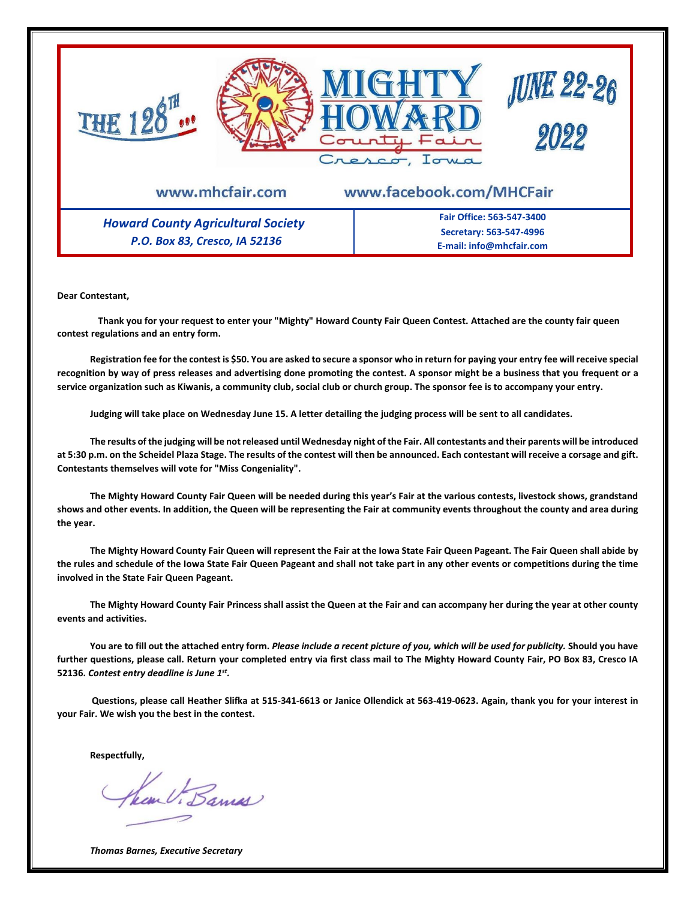

**Dear Contestant,**

**Thank you for your request to enter your "Mighty" Howard County Fair Queen Contest. Attached are the county fair queen contest regulations and an entry form.**

**Registration fee for the contest is \$50. You are asked to secure a sponsor who in return for paying your entry fee will receive special recognition by way of press releases and advertising done promoting the contest. A sponsor might be a business that you frequent or a service organization such as Kiwanis, a community club, social club or church group. The sponsor fee is to accompany your entry.** 

**Judging will take place on Wednesday June 15. A letter detailing the judging process will be sent to all candidates.**

**The results of the judging will be not released until Wednesday night of the Fair. All contestants and their parents will be introduced at 5:30 p.m. on the Scheidel Plaza Stage. The results of the contest will then be announced. Each contestant will receive a corsage and gift. Contestants themselves will vote for "Miss Congeniality".**

**The Mighty Howard County Fair Queen will be needed during this year's Fair at the various contests, livestock shows, grandstand shows and other events. In addition, the Queen will be representing the Fair at community events throughout the county and area during the year.**

**The Mighty Howard County Fair Queen will represent the Fair at the Iowa State Fair Queen Pageant. The Fair Queen shall abide by the rules and schedule of the Iowa State Fair Queen Pageant and shall not take part in any other events or competitions during the time involved in the State Fair Queen Pageant.**

**The Mighty Howard County Fair Princess shall assist the Queen at the Fair and can accompany her during the year at other county events and activities.** 

**You are to fill out the attached entry form.** *Please include a recent picture of you, which will be used for publicity.* **Should you have further questions, please call. Return your completed entry via first class mail to The Mighty Howard County Fair, PO Box 83, Cresco IA 52136.** *Contest entry deadline is June 1 st .* 

**Questions, please call Heather Slifka at 515-341-6613 or Janice Ollendick at 563-419-0623. Again, thank you for your interest in your Fair. We wish you the best in the contest.**

**Respectfully,**

an V. Barnes

*Thomas Barnes, Executive Secretary*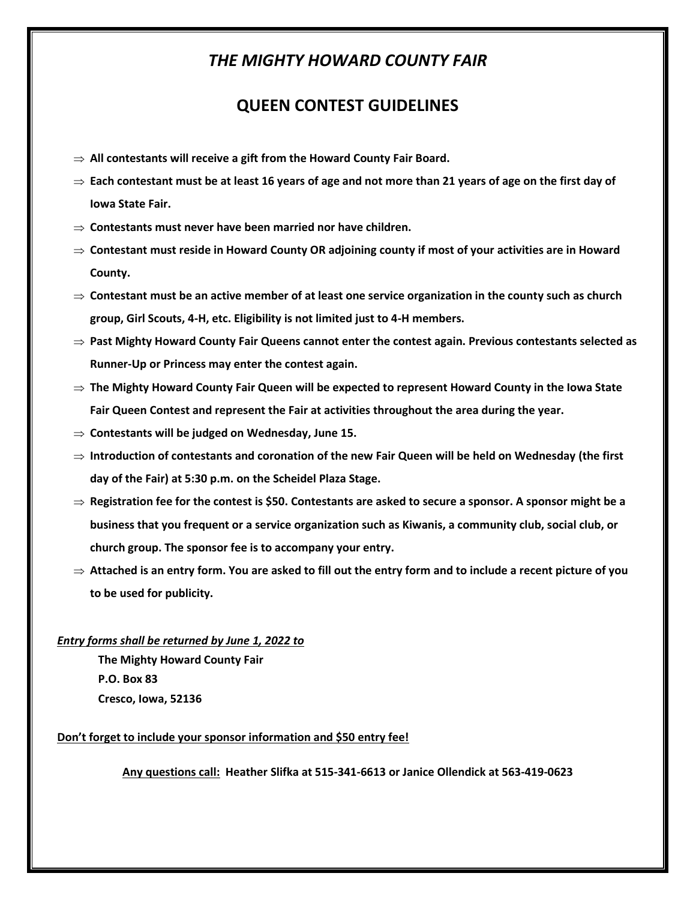## *THE MIGHTY HOWARD COUNTY FAIR*

### **QUEEN CONTEST GUIDELINES**

- **All contestants will receive a gift from the Howard County Fair Board.**
- $\Rightarrow$  Each contestant must be at least 16 years of age and not more than 21 years of age on the first day of **Iowa State Fair.**
- **Contestants must never have been married nor have children.**
- **Contestant must reside in Howard County OR adjoining county if most of your activities are in Howard County.**
- $\Rightarrow$  Contestant must be an active member of at least one service organization in the county such as church **group, Girl Scouts, 4-H, etc. Eligibility is not limited just to 4-H members.**
- $\Rightarrow$  Past Mighty Howard County Fair Queens cannot enter the contest again. Previous contestants selected as **Runner-Up or Princess may enter the contest again.**
- **The Mighty Howard County Fair Queen will be expected to represent Howard County in the Iowa State Fair Queen Contest and represent the Fair at activities throughout the area during the year.**
- **Contestants will be judged on Wednesday, June 15.**
- **Introduction of contestants and coronation of the new Fair Queen will be held on Wednesday (the first day of the Fair) at 5:30 p.m. on the Scheidel Plaza Stage.**
- **Registration fee for the contest is \$50. Contestants are asked to secure a sponsor. A sponsor might be a business that you frequent or a service organization such as Kiwanis, a community club, social club, or church group. The sponsor fee is to accompany your entry.**
- **Attached is an entry form. You are asked to fill out the entry form and to include a recent picture of you to be used for publicity.**

#### *Entry forms shall be returned by June 1, 2022 to*

**The Mighty Howard County Fair P.O. Box 83 Cresco, Iowa, 52136**

#### **Don't forget to include your sponsor information and \$50 entry fee!**

**Any questions call: Heather Slifka at 515-341-6613 or Janice Ollendick at 563-419-0623**